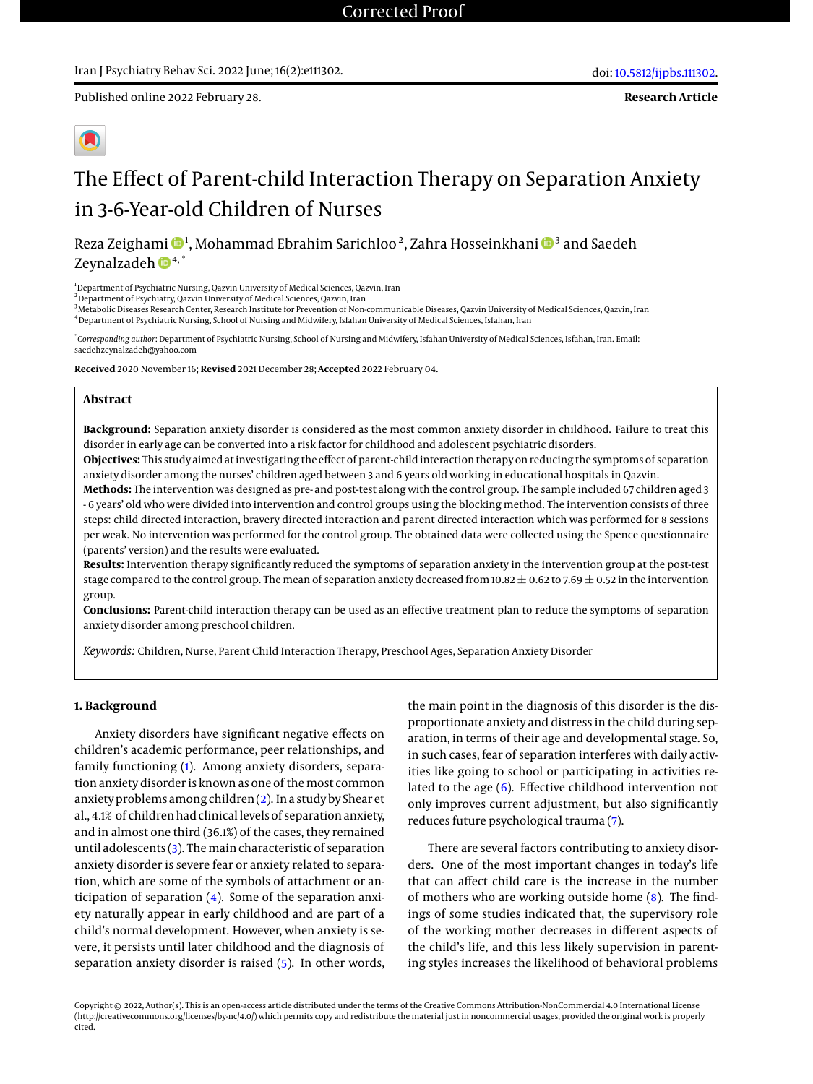Published online 2022 February 28.

**Research Article**



# The Effect of Parent-child Interaction Therapy on Separation Anxiety in 3-6-Year-old Children of Nurses

Reza Zeighami  $\mathbf{\Theta}^1$  $\mathbf{\Theta}^1$ , Mohammad Ebrahim Sarichloo<sup>2</sup>, Zahra Hosseinkhani  $\mathbf{\Theta}^3$  and Saedeh Zeynalzadeh  $\mathbf{D}^{4,*}$ 

<sup>1</sup>Department of Psychiatric Nursing, Qazvin University of Medical Sciences, Qazvin, Iran

<sup>2</sup> Department of Psychiatry, Qazvin University of Medical Sciences, Qazvin, Iran

<sup>3</sup>Metabolic Diseases Research Center, Research Institute for Prevention of Non-communicable Diseases, Qazvin University of Medical Sciences, Qazvin, Iran <sup>4</sup>Department of Psychiatric Nursing, School of Nursing and Midwifery, Isfahan University of Medical Sciences, Isfahan, Iran

\* *Corresponding author*: Department of Psychiatric Nursing, School of Nursing and Midwifery, Isfahan University of Medical Sciences, Isfahan, Iran. Email: saedehzeynalzadeh@yahoo.com

**Received** 2020 November 16; **Revised** 2021 December 28; **Accepted** 2022 February 04.

#### **Abstract**

**Background:** Separation anxiety disorder is considered as the most common anxiety disorder in childhood. Failure to treat this disorder in early age can be converted into a risk factor for childhood and adolescent psychiatric disorders.

**Objectives:** This study aimed at investigating the effect of parent-child interaction therapy on reducing the symptoms of separation anxiety disorder among the nurses' children aged between 3 and 6 years old working in educational hospitals in Qazvin.

**Methods:** The intervention was designed as pre- and post-test along with the control group. The sample included 67 children aged 3 - 6 years' old who were divided into intervention and control groups using the blocking method. The intervention consists of three steps: child directed interaction, bravery directed interaction and parent directed interaction which was performed for 8 sessions per weak. No intervention was performed for the control group. The obtained data were collected using the Spence questionnaire (parents' version) and the results were evaluated.

**Results:** Intervention therapy significantly reduced the symptoms of separation anxiety in the intervention group at the post-test stage compared to the control group. The mean of separation anxiety decreased from 10.82  $\pm$  0.62 to 7.69  $\pm$  0.52 in the intervention group.

**Conclusions:** Parent-child interaction therapy can be used as an effective treatment plan to reduce the symptoms of separation anxiety disorder among preschool children.

*Keywords:* Children, Nurse, Parent Child Interaction Therapy, Preschool Ages, Separation Anxiety Disorder

#### **1. Background**

Anxiety disorders have significant negative effects on children's academic performance, peer relationships, and family functioning [\(1\)](#page-5-0). Among anxiety disorders, separation anxiety disorder is known as one of the most common anxiety problems among children [\(2\)](#page-5-1). In a study by Shear et al., 4.1% of children had clinical levels of separation anxiety, and in almost one third (36.1%) of the cases, they remained until adolescents  $(3)$ . The main characteristic of separation anxiety disorder is severe fear or anxiety related to separation, which are some of the symbols of attachment or anticipation of separation [\(4\)](#page-6-0). Some of the separation anxiety naturally appear in early childhood and are part of a child's normal development. However, when anxiety is severe, it persists until later childhood and the diagnosis of separation anxiety disorder is raised [\(5\)](#page-6-1). In other words,

the main point in the diagnosis of this disorder is the disproportionate anxiety and distress in the child during separation, in terms of their age and developmental stage. So, in such cases, fear of separation interferes with daily activities like going to school or participating in activities related to the age [\(6\)](#page-6-2). Effective childhood intervention not only improves current adjustment, but also significantly reduces future psychological trauma [\(7\)](#page-6-3).

There are several factors contributing to anxiety disorders. One of the most important changes in today's life that can affect child care is the increase in the number of mothers who are working outside home [\(8\)](#page-6-4). The findings of some studies indicated that, the supervisory role of the working mother decreases in different aspects of the child's life, and this less likely supervision in parenting styles increases the likelihood of behavioral problems

Copyright © 2022, Author(s). This is an open-access article distributed under the terms of the Creative Commons Attribution-NonCommercial 4.0 International License (http://creativecommons.org/licenses/by-nc/4.0/) which permits copy and redistribute the material just in noncommercial usages, provided the original work is properly cited.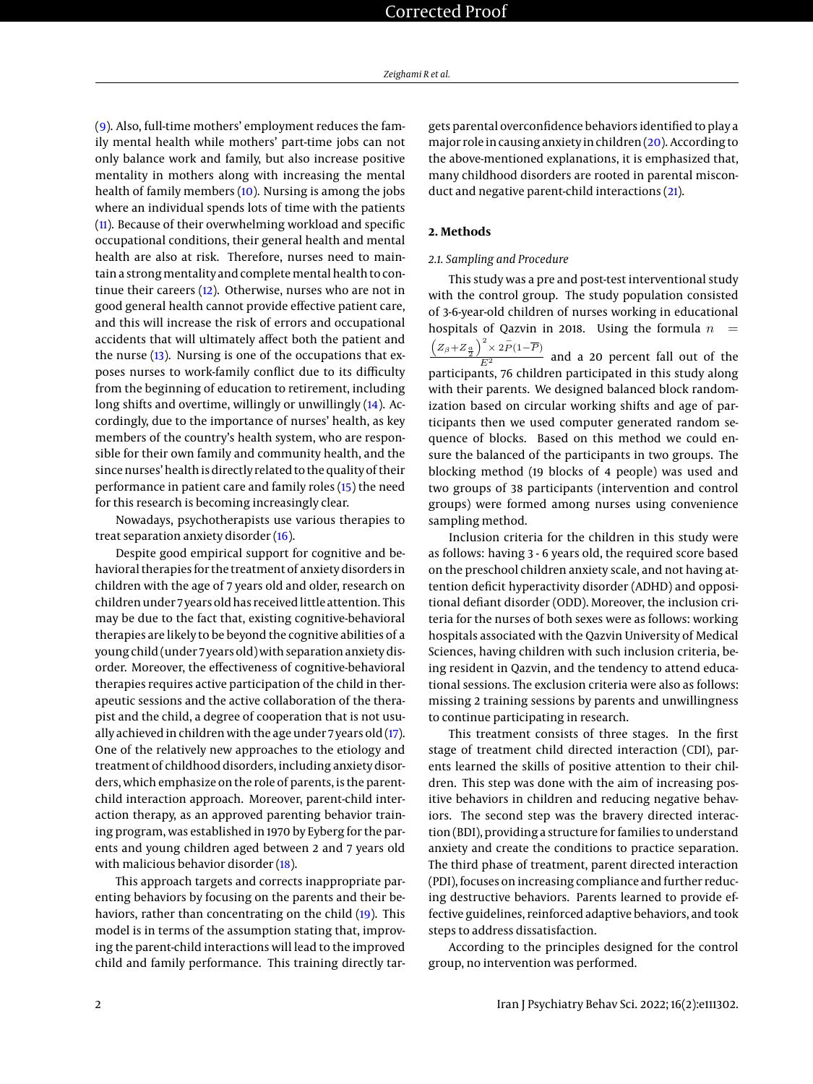[\(9\)](#page-6-5). Also, full-time mothers' employment reduces the family mental health while mothers' part-time jobs can not only balance work and family, but also increase positive mentality in mothers along with increasing the mental health of family members [\(10\)](#page-6-6). Nursing is among the jobs where an individual spends lots of time with the patients [\(11\)](#page-6-7). Because of their overwhelming workload and specific occupational conditions, their general health and mental health are also at risk. Therefore, nurses need to maintain a strong mentality and complete mental health to continue their careers [\(12\)](#page-6-8). Otherwise, nurses who are not in good general health cannot provide effective patient care, and this will increase the risk of errors and occupational accidents that will ultimately affect both the patient and the nurse [\(13\)](#page-6-9). Nursing is one of the occupations that exposes nurses to work-family conflict due to its difficulty from the beginning of education to retirement, including long shifts and overtime, willingly or unwillingly [\(14\)](#page-6-10). Accordingly, due to the importance of nurses' health, as key members of the country's health system, who are responsible for their own family and community health, and the since nurses' health is directly related to the quality of their performance in patient care and family roles [\(15\)](#page-6-11) the need for this research is becoming increasingly clear.

Nowadays, psychotherapists use various therapies to treat separation anxiety disorder [\(16\)](#page-6-12).

Despite good empirical support for cognitive and behavioral therapies for the treatment of anxiety disorders in children with the age of 7 years old and older, research on children under 7 years old has received little attention. This may be due to the fact that, existing cognitive-behavioral therapies are likely to be beyond the cognitive abilities of a young child (under 7 years old) with separation anxiety disorder. Moreover, the effectiveness of cognitive-behavioral therapies requires active participation of the child in therapeutic sessions and the active collaboration of the therapist and the child, a degree of cooperation that is not usually achieved in children with the age under 7 years old [\(17\)](#page-6-13). One of the relatively new approaches to the etiology and treatment of childhood disorders, including anxiety disorders, which emphasize on the role of parents, is the parentchild interaction approach. Moreover, parent-child interaction therapy, as an approved parenting behavior training program, was established in 1970 by Eyberg for the parents and young children aged between 2 and 7 years old with malicious behavior disorder [\(18\)](#page-6-14).

This approach targets and corrects inappropriate parenting behaviors by focusing on the parents and their behaviors, rather than concentrating on the child [\(19\)](#page-6-15). This model is in terms of the assumption stating that, improving the parent-child interactions will lead to the improved child and family performance. This training directly targets parental overconfidence behaviors identified to play a major role in causing anxiety in children [\(20\)](#page-6-16). According to the above-mentioned explanations, it is emphasized that, many childhood disorders are rooted in parental misconduct and negative parent-child interactions [\(21\)](#page-6-17).

# **2. Methods**

# *2.1. Sampling and Procedure*

This study was a pre and post-test interventional study with the control group. The study population consisted of 3-6-year-old children of nurses working in educational hospitals of Qazvin in 2018. Using the formula  $n =$  $\frac{(Z_{\beta}+Z_{\frac{\alpha}{2}})^2 \times 2\bar{P}(1-\overline{P})}{E^2}$  and a 20 percent fall out of the participants, 76 children participated in this study along with their parents. We designed balanced block randomization based on circular working shifts and age of participants then we used computer generated random sequence of blocks. Based on this method we could ensure the balanced of the participants in two groups. The blocking method (19 blocks of 4 people) was used and two groups of 38 participants (intervention and control groups) were formed among nurses using convenience sampling method.

Inclusion criteria for the children in this study were as follows: having 3 - 6 years old, the required score based on the preschool children anxiety scale, and not having attention deficit hyperactivity disorder (ADHD) and oppositional defiant disorder (ODD). Moreover, the inclusion criteria for the nurses of both sexes were as follows: working hospitals associated with the Qazvin University of Medical Sciences, having children with such inclusion criteria, being resident in Qazvin, and the tendency to attend educational sessions. The exclusion criteria were also as follows: missing 2 training sessions by parents and unwillingness to continue participating in research.

This treatment consists of three stages. In the first stage of treatment child directed interaction (CDI), parents learned the skills of positive attention to their children. This step was done with the aim of increasing positive behaviors in children and reducing negative behaviors. The second step was the bravery directed interaction (BDI), providing a structure for families to understand anxiety and create the conditions to practice separation. The third phase of treatment, parent directed interaction (PDI), focuses on increasing compliance and further reducing destructive behaviors. Parents learned to provide effective guidelines, reinforced adaptive behaviors, and took steps to address dissatisfaction.

According to the principles designed for the control group, no intervention was performed.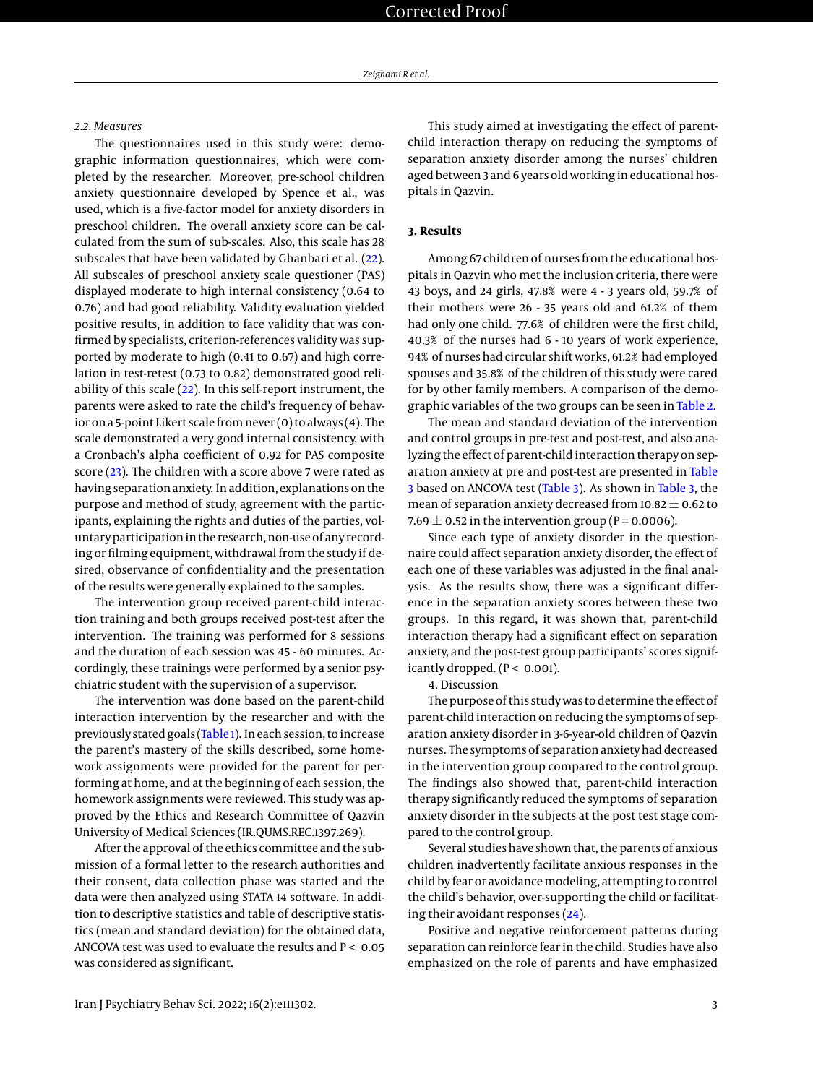#### *2.2. Measures*

The questionnaires used in this study were: demographic information questionnaires, which were completed by the researcher. Moreover, pre-school children anxiety questionnaire developed by Spence et al., was used, which is a five-factor model for anxiety disorders in preschool children. The overall anxiety score can be calculated from the sum of sub-scales. Also, this scale has 28 subscales that have been validated by Ghanbari et al. [\(22\)](#page-6-18). All subscales of preschool anxiety scale questioner (PAS) displayed moderate to high internal consistency (0.64 to 0.76) and had good reliability. Validity evaluation yielded positive results, in addition to face validity that was confirmed by specialists, criterion-references validity was supported by moderate to high (0.41 to 0.67) and high correlation in test-retest (0.73 to 0.82) demonstrated good reliability of this scale [\(22\)](#page-6-18). In this self-report instrument, the parents were asked to rate the child's frequency of behavior on a 5-point Likert scale from never (0) to always (4). The scale demonstrated a very good internal consistency, with a Cronbach's alpha coefficient of 0.92 for PAS composite score [\(23\)](#page-6-19). The children with a score above 7 were rated as having separation anxiety. In addition, explanations on the purpose and method of study, agreement with the participants, explaining the rights and duties of the parties, voluntary participation in the research, non-use of any recording or filming equipment, withdrawal from the study if desired, observance of confidentiality and the presentation of the results were generally explained to the samples.

The intervention group received parent-child interaction training and both groups received post-test after the intervention. The training was performed for 8 sessions and the duration of each session was 45 - 60 minutes. Accordingly, these trainings were performed by a senior psychiatric student with the supervision of a supervisor.

The intervention was done based on the parent-child interaction intervention by the researcher and with the previously stated goals [\(Table 1\)](#page-3-0). In each session, to increase the parent's mastery of the skills described, some homework assignments were provided for the parent for performing at home, and at the beginning of each session, the homework assignments were reviewed. This study was approved by the Ethics and Research Committee of Qazvin University of Medical Sciences (IR.QUMS.REC.1397.269).

After the approval of the ethics committee and the submission of a formal letter to the research authorities and their consent, data collection phase was started and the data were then analyzed using STATA 14 software. In addition to descriptive statistics and table of descriptive statistics (mean and standard deviation) for the obtained data, ANCOVA test was used to evaluate the results and  $P < 0.05$ was considered as significant.

This study aimed at investigating the effect of parentchild interaction therapy on reducing the symptoms of separation anxiety disorder among the nurses' children aged between 3 and 6 years old working in educational hospitals in Qazvin.

# **3. Results**

Among 67 children of nurses from the educational hospitals in Qazvin who met the inclusion criteria, there were 43 boys, and 24 girls, 47.8% were 4 - 3 years old, 59.7% of their mothers were 26 - 35 years old and 61.2% of them had only one child. 77.6% of children were the first child, 40.3% of the nurses had 6 - 10 years of work experience, 94% of nurses had circular shift works, 61.2% had employed spouses and 35.8% of the children of this study were cared for by other family members. A comparison of the demographic variables of the two groups can be seen in [Table 2.](#page-4-0)

The mean and standard deviation of the intervention and control groups in pre-test and post-test, and also analyzing the effect of parent-child interaction therapy on separation anxiety at pre and post-test are presented in [Table](#page-5-3) [3](#page-5-3) based on ANCOVA test [\(Table 3\)](#page-5-3). As shown in [Table 3,](#page-5-3) the mean of separation anxiety decreased from  $10.82 \pm 0.62$  to 7.69  $\pm$  0.52 in the intervention group (P = 0.0006).

Since each type of anxiety disorder in the questionnaire could affect separation anxiety disorder, the effect of each one of these variables was adjusted in the final analysis. As the results show, there was a significant difference in the separation anxiety scores between these two groups. In this regard, it was shown that, parent-child interaction therapy had a significant effect on separation anxiety, and the post-test group participants' scores significantly dropped.  $(P < 0.001)$ .

#### 4. Discussion

The purpose of this study was to determine the effect of parent-child interaction on reducing the symptoms of separation anxiety disorder in 3-6-year-old children of Qazvin nurses. The symptoms of separation anxiety had decreased in the intervention group compared to the control group. The findings also showed that, parent-child interaction therapy significantly reduced the symptoms of separation anxiety disorder in the subjects at the post test stage compared to the control group.

Several studies have shown that, the parents of anxious children inadvertently facilitate anxious responses in the child by fear or avoidance modeling, attempting to control the child's behavior, over-supporting the child or facilitating their avoidant responses [\(24\)](#page-6-20).

Positive and negative reinforcement patterns during separation can reinforce fear in the child. Studies have also emphasized on the role of parents and have emphasized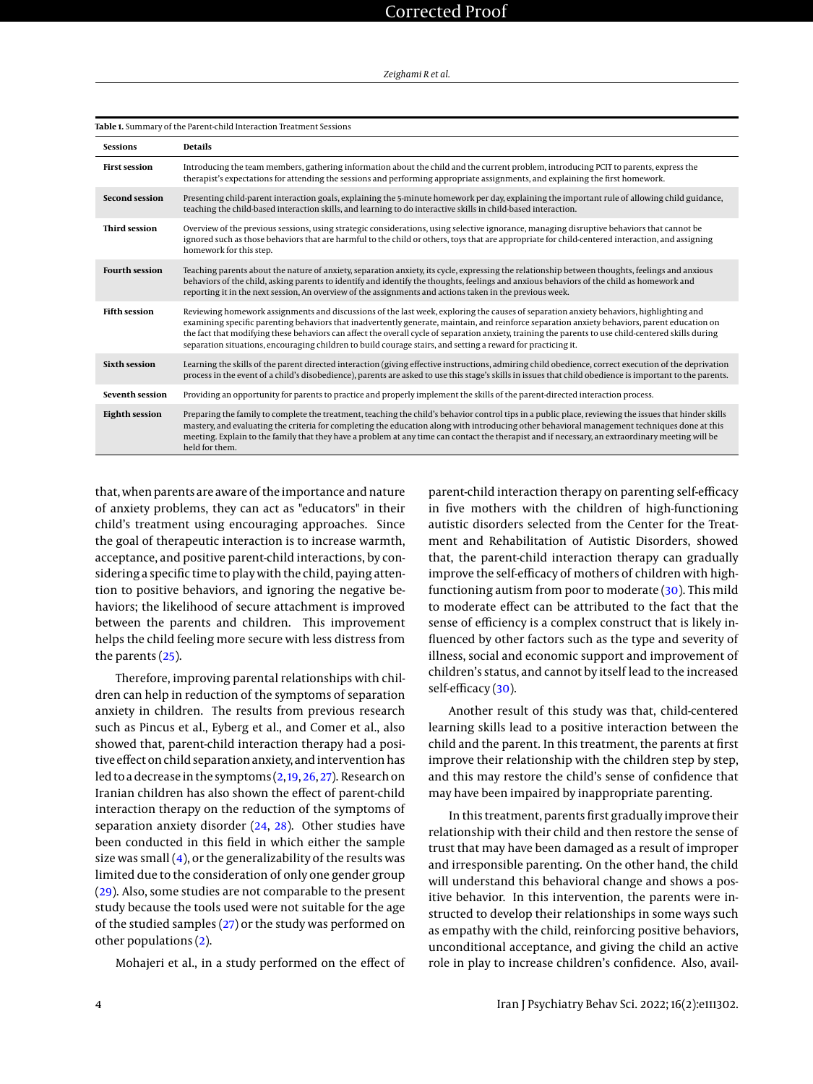| lable 1. Summary of the Parent-child Interaction Treatment Sessions |                                                                                                                                                                                                                                                                                                                                                                                                                                                                                                                                                                  |  |  |  |
|---------------------------------------------------------------------|------------------------------------------------------------------------------------------------------------------------------------------------------------------------------------------------------------------------------------------------------------------------------------------------------------------------------------------------------------------------------------------------------------------------------------------------------------------------------------------------------------------------------------------------------------------|--|--|--|
| <b>Sessions</b>                                                     | <b>Details</b>                                                                                                                                                                                                                                                                                                                                                                                                                                                                                                                                                   |  |  |  |
| <b>First session</b>                                                | Introducing the team members, gathering information about the child and the current problem, introducing PCIT to parents, express the<br>therapist's expectations for attending the sessions and performing appropriate assignments, and explaining the first homework.                                                                                                                                                                                                                                                                                          |  |  |  |
| <b>Second session</b>                                               | Presenting child-parent interaction goals, explaining the 5-minute homework per day, explaining the important rule of allowing child guidance,<br>teaching the child-based interaction skills, and learning to do interactive skills in child-based interaction.                                                                                                                                                                                                                                                                                                 |  |  |  |
| <b>Third session</b>                                                | Overview of the previous sessions, using strategic considerations, using selective ignorance, managing disruptive behaviors that cannot be<br>ignored such as those behaviors that are harmful to the child or others, toys that are appropriate for child-centered interaction, and assigning<br>homework for this step.                                                                                                                                                                                                                                        |  |  |  |
| <b>Fourth session</b>                                               | Teaching parents about the nature of anxiety, separation anxiety, its cycle, expressing the relationship between thoughts, feelings and anxious<br>behaviors of the child, asking parents to identify and identify the thoughts, feelings and anxious behaviors of the child as homework and<br>reporting it in the next session, An overview of the assignments and actions taken in the previous week.                                                                                                                                                         |  |  |  |
| <b>Fifth session</b>                                                | Reviewing homework assignments and discussions of the last week, exploring the causes of separation anxiety behaviors, highlighting and<br>examining specific parenting behaviors that inadvertently generate, maintain, and reinforce separation anxiety behaviors, parent education on<br>the fact that modifying these behaviors can affect the overall cycle of separation anxiety, training the parents to use child-centered skills during<br>separation situations, encouraging children to build courage stairs, and setting a reward for practicing it. |  |  |  |
| <b>Sixth session</b>                                                | Learning the skills of the parent directed interaction (giving effective instructions, admiring child obedience, correct execution of the deprivation<br>process in the event of a child's disobedience), parents are asked to use this stage's skills in issues that child obedience is important to the parents.                                                                                                                                                                                                                                               |  |  |  |
| <b>Seventh session</b>                                              | Providing an opportunity for parents to practice and properly implement the skills of the parent-directed interaction process.                                                                                                                                                                                                                                                                                                                                                                                                                                   |  |  |  |
| <b>Eighth session</b>                                               | Preparing the family to complete the treatment, teaching the child's behavior control tips in a public place, reviewing the issues that hinder skills<br>mastery, and evaluating the criteria for completing the education along with introducing other behavioral management techniques done at this<br>meeting. Explain to the family that they have a problem at any time can contact the therapist and if necessary, an extraordinary meeting will be<br>held for them.                                                                                      |  |  |  |

#### <span id="page-3-0"></span>**Table 1.** Summary of the Parent-child Interaction Treatment Sessions

that, when parents are aware of the importance and nature of anxiety problems, they can act as "educators" in their child's treatment using encouraging approaches. Since the goal of therapeutic interaction is to increase warmth, acceptance, and positive parent-child interactions, by considering a specific time to play with the child, paying attention to positive behaviors, and ignoring the negative behaviors; the likelihood of secure attachment is improved between the parents and children. This improvement helps the child feeling more secure with less distress from the parents [\(25\)](#page-6-21).

Therefore, improving parental relationships with children can help in reduction of the symptoms of separation anxiety in children. The results from previous research such as Pincus et al., Eyberg et al., and Comer et al., also showed that, parent-child interaction therapy had a positive effect on child separation anxiety, and intervention has led to a decrease in the symptoms [\(2,](#page-5-1)[19,](#page-6-15) [26,](#page-6-22) [27\)](#page-6-23). Research on Iranian children has also shown the effect of parent-child interaction therapy on the reduction of the symptoms of separation anxiety disorder [\(24,](#page-6-20) [28\)](#page-6-24). Other studies have been conducted in this field in which either the sample size was small  $(4)$ , or the generalizability of the results was limited due to the consideration of only one gender group [\(29\)](#page-6-25). Also, some studies are not comparable to the present study because the tools used were not suitable for the age of the studied samples [\(27\)](#page-6-23) or the study was performed on other populations [\(2\)](#page-5-1).

Mohajeri et al., in a study performed on the effect of

parent-child interaction therapy on parenting self-efficacy in five mothers with the children of high-functioning autistic disorders selected from the Center for the Treatment and Rehabilitation of Autistic Disorders, showed that, the parent-child interaction therapy can gradually improve the self-efficacy of mothers of children with highfunctioning autism from poor to moderate [\(30\)](#page-6-26). This mild to moderate effect can be attributed to the fact that the sense of efficiency is a complex construct that is likely influenced by other factors such as the type and severity of illness, social and economic support and improvement of children's status, and cannot by itself lead to the increased self-efficacy [\(30\)](#page-6-26).

Another result of this study was that, child-centered learning skills lead to a positive interaction between the child and the parent. In this treatment, the parents at first improve their relationship with the children step by step, and this may restore the child's sense of confidence that may have been impaired by inappropriate parenting.

In this treatment, parents first gradually improve their relationship with their child and then restore the sense of trust that may have been damaged as a result of improper and irresponsible parenting. On the other hand, the child will understand this behavioral change and shows a positive behavior. In this intervention, the parents were instructed to develop their relationships in some ways such as empathy with the child, reinforcing positive behaviors, unconditional acceptance, and giving the child an active role in play to increase children's confidence. Also, avail-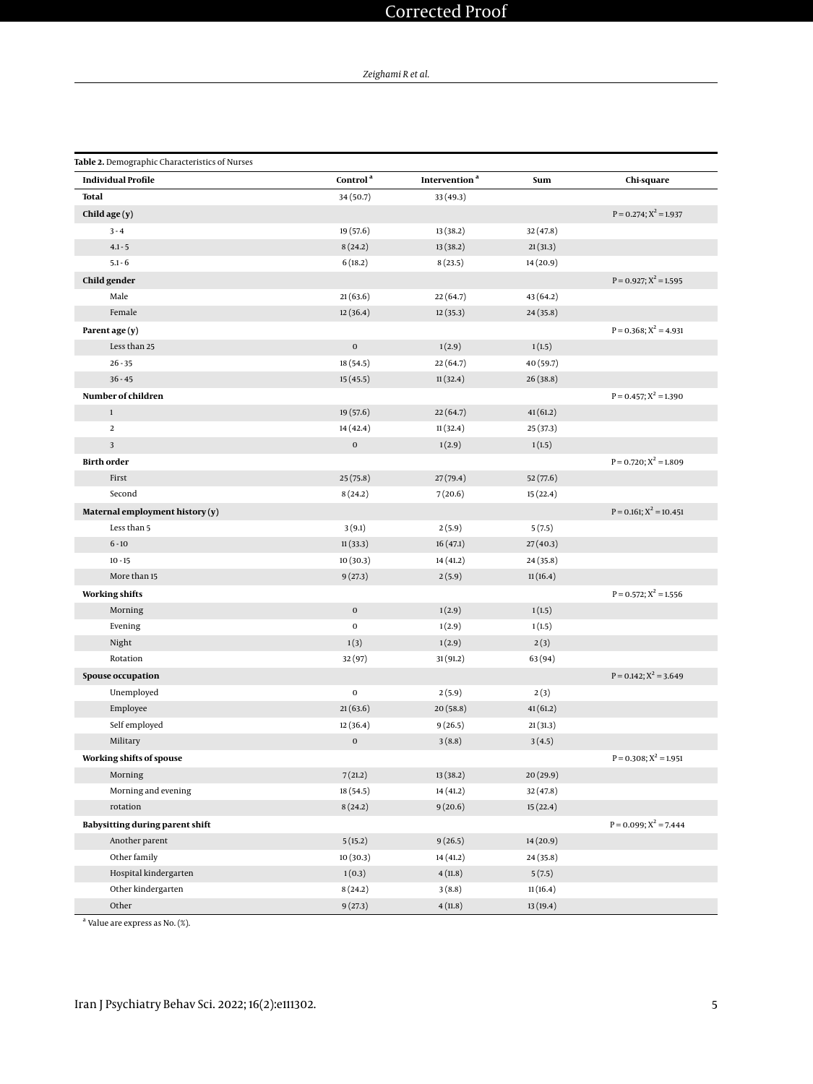# Corrected Proof

*Zeighami R et al.*

<span id="page-4-0"></span>

| Table 2. Demographic Characteristics of Nurses |                      |                           |           |                             |  |  |  |
|------------------------------------------------|----------------------|---------------------------|-----------|-----------------------------|--|--|--|
| <b>Individual Profile</b>                      | Control <sup>a</sup> | Intervention <sup>a</sup> | Sum       | Chi-square                  |  |  |  |
| <b>Total</b><br>34 (50.7)<br>33(49.3)          |                      |                           |           |                             |  |  |  |
| Child age (y)                                  |                      |                           |           | $P = 0.274$ ; $X^2 = 1.937$ |  |  |  |
| $3 - 4$                                        | 19 (57.6)            | 13 (38.2)                 | 32(47.8)  |                             |  |  |  |
| $4.1 - 5$                                      | 8(24.2)              | 13(38.2)                  | 21(31.3)  |                             |  |  |  |
| $5.1 - 6$                                      | 6(18.2)              | 8(23.5)                   | 14(20.9)  |                             |  |  |  |
| Child gender                                   |                      |                           |           | $P = 0.927; X^2 = 1.595$    |  |  |  |
| Male                                           | 21(63.6)             | 22(64.7)                  | 43(64.2)  |                             |  |  |  |
| Female                                         | 12(36.4)             | 12(35.3)                  | 24(35.8)  |                             |  |  |  |
| Parent age (y)                                 |                      |                           |           | $P = 0.368$ ; $X^2 = 4.931$ |  |  |  |
| Less than 25                                   | $\mathbf 0$          | 1(2.9)                    | 1(1.5)    |                             |  |  |  |
| $26 - 35$                                      | 18(54.5)             | 22(64.7)                  | 40 (59.7) |                             |  |  |  |
| $36 - 45$                                      | 15(45.5)             | 11(32.4)                  | 26(38.8)  |                             |  |  |  |
| Number of children                             |                      |                           |           | $P = 0.457$ ; $X^2 = 1.390$ |  |  |  |
| $\mathbf{1}$                                   | 19(57.6)             | 22(64.7)                  | 41(61.2)  |                             |  |  |  |
| $\mathbf 2$                                    | 14 (42.4)            | 11(32.4)                  | 25 (37.3) |                             |  |  |  |
| $\overline{\mathbf{3}}$                        | $\mathbf 0$          | 1(2.9)                    | 1(1.5)    |                             |  |  |  |
| <b>Birth order</b>                             |                      |                           |           | $P = 0.720$ ; $X^2 = 1.809$ |  |  |  |
| First                                          | 25(75.8)             | 27(79.4)                  | 52(77.6)  |                             |  |  |  |
| Second                                         | 8(24.2)              | 7(20.6)                   | 15(22.4)  |                             |  |  |  |
| Maternal employment history (y)                |                      |                           |           | $P = 0.161; X^2 = 10.451$   |  |  |  |
| Less than 5                                    | 3(9.1)               | 2(5.9)                    | 5(7.5)    |                             |  |  |  |
| $6 - 10$                                       | 11(33.3)             | 16(47.1)                  | 27(40.3)  |                             |  |  |  |
| $10 - 15$                                      | 10(30.3)             | 14 (41.2)                 | 24(35.8)  |                             |  |  |  |
| More than 15                                   | 9(27.3)              | 2(5.9)                    | 11(16.4)  |                             |  |  |  |
| <b>Working shifts</b>                          |                      |                           |           | $P = 0.572$ ; $X^2 = 1.556$ |  |  |  |
| Morning                                        | $\mathbf 0$          | 1(2.9)                    | 1(1.5)    |                             |  |  |  |
| Evening                                        | $\mathbf 0$          | 1(2.9)                    | 1(1.5)    |                             |  |  |  |
| Night                                          | 1(3)                 | 1(2.9)                    | 2(3)      |                             |  |  |  |
| Rotation                                       | 32(97)               | 31 (91.2)                 | 63 (94)   |                             |  |  |  |
| Spouse occupation                              |                      |                           |           | $P = 0.142$ ; $X^2 = 3.649$ |  |  |  |
| Unemployed                                     | $\mathbf 0$          | 2(5.9)                    | 2(3)      |                             |  |  |  |
| Employee                                       | 21(63.6)             | 20(58.8)                  | 41(61.2)  |                             |  |  |  |
| Self employed                                  | 12(36.4)             | 9(26.5)                   | 21(31.3)  |                             |  |  |  |
| Military                                       | $\mathbf 0$          | 3(8.8)                    | 3(4.5)    |                             |  |  |  |
| Working shifts of spouse                       |                      |                           |           | $P = 0.308; X^2 = 1.951$    |  |  |  |
| Morning                                        | 7(21.2)              | 13(38.2)                  | 20(29.9)  |                             |  |  |  |
| Morning and evening                            | 18 (54.5)            | 14 (41.2)                 | 32(47.8)  |                             |  |  |  |
| rotation                                       | 8(24.2)              | 9(20.6)                   | 15(22.4)  |                             |  |  |  |
| Babysitting during parent shift                |                      |                           |           | $P = 0.099$ ; $X^2 = 7.444$ |  |  |  |
| Another parent                                 | 5(15.2)              | 9(26.5)                   | 14(20.9)  |                             |  |  |  |
| Other family                                   | 10(30.3)             | 14 (41.2)                 | 24(35.8)  |                             |  |  |  |
| Hospital kindergarten                          | 1(0.3)               | 4(11.8)                   | 5(7.5)    |                             |  |  |  |
| Other kindergarten                             | 8(24.2)              | 3(8.8)                    | 11(16.4)  |                             |  |  |  |
| Other                                          | 9(27.3)              | 4(11.8)                   | 13(19.4)  |                             |  |  |  |

<sup>a</sup> Value are express as No. (%).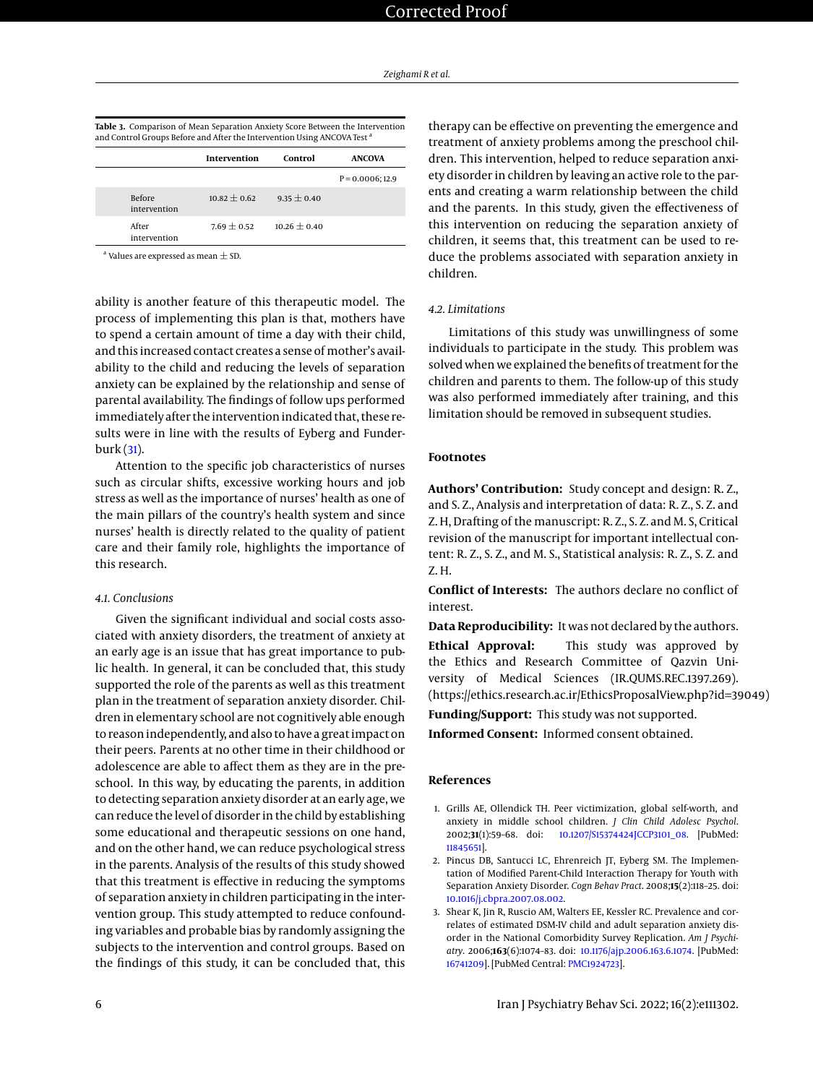<span id="page-5-3"></span>

| Table 3. Comparison of Mean Separation Anxiety Score Between the Intervention       |
|-------------------------------------------------------------------------------------|
| and Control Groups Before and After the Intervention Using ANCOVA Test <sup>a</sup> |

|                               | Intervention     | Control         | <b>ANCOVA</b>      |
|-------------------------------|------------------|-----------------|--------------------|
|                               |                  |                 | $P = 0.0006; 12.9$ |
| <b>Before</b><br>intervention | $10.82 \pm 0.62$ | $9.35 \pm 0.40$ |                    |
| After<br>intervention         | $7.69 + 0.52$    | $10.26 + 0.40$  |                    |
|                               |                  |                 |                    |

 $^{\rm a}$  Values are expressed as mean  $\pm$  SD.

ability is another feature of this therapeutic model. The process of implementing this plan is that, mothers have to spend a certain amount of time a day with their child, and this increased contact creates a sense of mother's availability to the child and reducing the levels of separation anxiety can be explained by the relationship and sense of parental availability. The findings of follow ups performed immediately after the intervention indicated that, these results were in line with the results of Eyberg and Funderburk [\(31\)](#page-6-27).

Attention to the specific job characteristics of nurses such as circular shifts, excessive working hours and job stress as well as the importance of nurses' health as one of the main pillars of the country's health system and since nurses' health is directly related to the quality of patient care and their family role, highlights the importance of this research.

# *4.1. Conclusions*

Given the significant individual and social costs associated with anxiety disorders, the treatment of anxiety at an early age is an issue that has great importance to public health. In general, it can be concluded that, this study supported the role of the parents as well as this treatment plan in the treatment of separation anxiety disorder. Children in elementary school are not cognitively able enough to reason independently, and also to have a great impact on their peers. Parents at no other time in their childhood or adolescence are able to affect them as they are in the preschool. In this way, by educating the parents, in addition to detecting separation anxiety disorder at an early age, we can reduce the level of disorder in the child by establishing some educational and therapeutic sessions on one hand, and on the other hand, we can reduce psychological stress in the parents. Analysis of the results of this study showed that this treatment is effective in reducing the symptoms of separation anxiety in children participating in the intervention group. This study attempted to reduce confounding variables and probable bias by randomly assigning the subjects to the intervention and control groups. Based on the findings of this study, it can be concluded that, this

therapy can be effective on preventing the emergence and treatment of anxiety problems among the preschool children. This intervention, helped to reduce separation anxiety disorder in children by leaving an active role to the parents and creating a warm relationship between the child and the parents. In this study, given the effectiveness of this intervention on reducing the separation anxiety of children, it seems that, this treatment can be used to reduce the problems associated with separation anxiety in children.

# *4.2. Limitations*

Limitations of this study was unwillingness of some individuals to participate in the study. This problem was solved when we explained the benefits of treatment for the children and parents to them. The follow-up of this study was also performed immediately after training, and this limitation should be removed in subsequent studies.

# **Footnotes**

**Authors' Contribution:** Study concept and design: R. Z., and S. Z., Analysis and interpretation of data: R. Z., S. Z. and Z. H, Drafting of the manuscript: R. Z., S. Z. and M. S, Critical revision of the manuscript for important intellectual content: R. Z., S. Z., and M. S., Statistical analysis: R. Z., S. Z. and Z. H.

**Conflict of Interests:** The authors declare no conflict of interest.

**Data Reproducibility:** It was not declared by the authors. **Ethical Approval:** This study was approved by the Ethics and Research Committee of Qazvin University of Medical Sciences (IR.QUMS.REC.1397.269). (https://ethics.research.ac.ir/EthicsProposalView.php?id=39049)

**Funding/Support:** This study was not supported.

**Informed Consent:** Informed consent obtained.

### **References**

- <span id="page-5-0"></span>1. Grills AE, Ollendick TH. Peer victimization, global self-worth, and anxiety in middle school children. *J Clin Child Adolesc Psychol*. 2002;**31**(1):59–68. doi: [10.1207/S15374424JCCP3101\\_08.](http://dx.doi.org/10.1207/S15374424JCCP3101_08) [PubMed: [11845651\]](http://www.ncbi.nlm.nih.gov/pubmed/11845651).
- <span id="page-5-1"></span>2. Pincus DB, Santucci LC, Ehrenreich JT, Eyberg SM. The Implementation of Modified Parent-Child Interaction Therapy for Youth with Separation Anxiety Disorder. *Cogn Behav Pract*. 2008;**15**(2):118–25. doi: [10.1016/j.cbpra.2007.08.002.](http://dx.doi.org/10.1016/j.cbpra.2007.08.002)
- <span id="page-5-2"></span>3. Shear K, Jin R, Ruscio AM, Walters EE, Kessler RC. Prevalence and correlates of estimated DSM-IV child and adult separation anxiety disorder in the National Comorbidity Survey Replication. *Am J Psychiatry*. 2006;**163**(6):1074–83. doi: [10.1176/ajp.2006.163.6.1074.](http://dx.doi.org/10.1176/ajp.2006.163.6.1074) [PubMed: [16741209\]](http://www.ncbi.nlm.nih.gov/pubmed/16741209). [PubMed Central: [PMC1924723\]](https://www.ncbi.nlm.nih.gov/pmc/articles/PMC1924723).